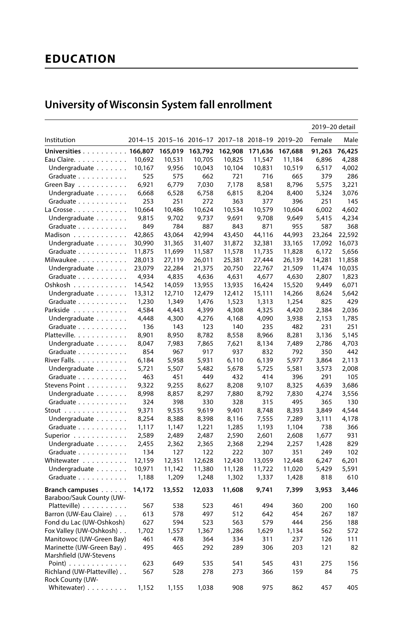# **EDUCATION**

|                                      |        |         |         |                                                 |         |         | 2019-20 detail |              |
|--------------------------------------|--------|---------|---------|-------------------------------------------------|---------|---------|----------------|--------------|
| Institution                          |        |         |         | 2014-15 2015-16 2016-17 2017-18 2018-19 2019-20 |         |         | Female         | Male         |
| Universities 166,807                 |        | 165,019 | 163,792 | 162,908                                         | 171,636 | 167,688 | 91,263         | 76,425       |
| Eau Claire.                          | 10,692 | 10,531  | 10,705  | 10,825                                          | 11,547  | 11,184  | 6,896          | 4,288        |
| Undergraduate                        | 10,167 | 9,956   | 10,043  | 10,104                                          | 10,831  | 10,519  | 6,517          | 4,002        |
| Graduate                             | 525    | 575     | 662     | 721                                             | 716     | 665     | 379            | 286          |
| Green Bay                            | 6,921  | 6,779   | 7,030   | 7,178                                           | 8,581   | 8,796   | 5,575          | 3,221        |
| Undergraduate                        | 6,668  | 6,528   | 6,758   | 6,815                                           | 8,204   | 8,400   | 5,324          | 3,076        |
| Graduate                             | 253    | 251     | 272     | 363                                             | 377     | 396     | 251            | 145          |
| La Crosse                            | 10,664 | 10,486  | 10,624  | 10,534                                          | 10,579  | 10,604  | 6,002          | 4,602        |
| Undergraduate                        | 9,815  | 9,702   | 9,737   | 9,691                                           | 9,708   | 9,649   | 5,415          | 4,234        |
| Graduate                             | 849    | 784     | 887     | 843                                             | 871     | 955     | 587            | 368          |
| Madison                              | 42,865 | 43,064  | 42,994  | 43,450                                          | 44,116  | 44,993  | 23,264         | 22,592       |
| Undergraduate                        | 30,990 | 31,365  | 31,407  | 31,872                                          | 32,381  | 33,165  | 17,092         | 16,073       |
| Graduate                             | 11,875 | 11,699  | 11,587  | 11,578                                          | 11,735  | 11,828  | 6,172          | 5,656        |
| Milwaukee                            | 28,013 | 27,119  | 26,011  | 25,381                                          | 27,444  | 26,139  | 14,281         | 11,858       |
| Undergraduate                        | 23,079 | 22,284  | 21,375  | 20,750                                          | 22,767  | 21,509  | 11,474         | 10,035       |
| Graduate                             | 4,934  | 4,835   | 4,636   | 4,631                                           | 4,677   | 4,630   | 2,807          | 1,823        |
| Oshkosh                              | 14,542 | 14,059  | 13,955  | 13,935                                          | 16,424  | 15,520  | 9,449          | 6,071        |
| Undergraduate                        | 13,312 | 12,710  | 12,479  | 12,412                                          | 15,111  | 14,266  | 8,624          | 5,642        |
| Graduate                             | 1,230  | 1,349   | 1,476   | 1,523                                           | 1,313   | 1,254   | 825            | 429          |
| Parkside                             | 4,584  | 4,443   | 4,399   | 4,308                                           | 4,325   | 4,420   | 2,384          | 2,036        |
| Undergraduate                        | 4,448  | 4,300   | 4,276   | 4,168                                           | 4,090   | 3,938   | 2,153          | 1,785        |
| Graduate                             | 136    | 143     | 123     | 140                                             | 235     | 482     | 231            | 251          |
| Platteville.                         | 8,901  | 8,950   | 8,782   | 8,558                                           | 8,966   | 8,281   | 3,136          | 5,145        |
| Undergraduate                        | 8,047  | 7,983   | 7,865   | 7,621                                           | 8,134   | 7,489   | 2,786          | 4,703        |
| Graduate                             | 854    | 967     | 917     | 937                                             | 832     | 792     | 350            | 442          |
| River Falls.                         | 6,184  | 5,958   | 5,931   | 6,110                                           | 6,139   | 5,977   | 3,864          | 2,113        |
| Undergraduate                        | 5,721  | 5,507   | 5,482   | 5,678                                           | 5,725   | 5,581   | 3,573          | 2,008        |
| Graduate                             | 463    | 451     | 449     | 432                                             | 414     | 396     | 291            | 105          |
| Stevens Point                        | 9,322  | 9,255   | 8,627   | 8,208                                           | 9,107   | 8,325   | 4,639          | 3,686        |
|                                      | 8,998  |         |         |                                                 |         |         |                |              |
| Undergraduate                        | 324    | 8,857   | 8,297   | 7,880                                           | 8,792   | 7,830   | 4,274          | 3,556<br>130 |
| Graduate                             |        | 398     | 330     | 328                                             | 315     | 495     | 365            |              |
| Stout $\ldots \ldots \ldots \ldots$  | 9,371  | 9,535   | 9,619   | 9,401                                           | 8,748   | 8,393   | 3,849          | 4,544        |
| Undergraduate                        | 8,254  | 8,388   | 8,398   | 8,116                                           | 7,555   | 7,289   | 3,111          | 4,178        |
| Graduate                             | 1,117  | 1,147   | 1,221   | 1,285                                           | 1,193   | 1,104   | 738            | 366          |
| Superior                             | 2,589  | 2,489   | 2,487   | 2,590                                           | 2,601   | 2,608   | 1,677          | 931          |
| Undergraduate                        | 2,455  | 2,362   | 2,365   | 2,368                                           | 2,294   | 2,257   | 1,428          | 829          |
| Graduate                             | 134    | 127     | 122     | 222                                             | 307     | 351     | 249            | 102          |
| Whitewater                           | 12,159 | 12,351  | 12,628  | 12,430                                          | 13,059  | 12,448  | 6,247          | 6,201        |
| Undergraduate                        | 10,971 | 11,142  | 11,380  | 11,128                                          | 11,722  | 11,020  | 5,429          | 5,591        |
| Graduate                             | 1,188  | 1,209   | 1,248   | 1,302                                           | 1,337   | 1,428   | 818            | 610          |
| Branch campuses                      | 14,172 | 13,552  | 12,033  | 11,608                                          | 9,741   | 7,399   | 3,953          | 3,446        |
| Baraboo/Sauk County (UW-             |        |         |         |                                                 |         |         |                |              |
| Platteville)                         | 567    | 538     | 523     | 461                                             | 494     | 360     | 200            | 160          |
| Barron (UW-Eau Claire)               | 613    | 578     | 497     | 512                                             | 642     | 454     | 267            | 187          |
| Fond du Lac (UW-Oshkosh)             | 627    | 594     | 523     | 563                                             | 579     | 444     | 256            | 188          |
| Fox Valley (UW-Oshkosh)              | 1,702  | 1,557   | 1,367   | 1,286                                           | 1,629   | 1,134   | 562            | 572          |
| Manitowoc (UW-Green Bay)             | 461    | 478     | 364     | 334                                             | 311     | 237     | 126            | 111          |
| Marinette (UW-Green Bay).            | 495    | 465     | 292     | 289                                             | 306     | 203     | 121            | 82           |
| Marshfield (UW-Stevens               |        |         |         |                                                 |         |         |                |              |
| Point) $\ldots \ldots \ldots \ldots$ | 623    | 649     | 535     | 541                                             | 545     | 431     | 275            | 156          |
| Richland (UW-Platteville)            | 567    | 528     | 278     | 273                                             | 366     | 159     | 84             | 75           |
| Rock County (UW-                     |        |         |         |                                                 |         |         |                |              |
| Whitewater)                          | 1,152  | 1,155   | 1.038   | 908                                             | 975     | 862     | 457            | 405          |

# University of Wisconsin System fall enrollment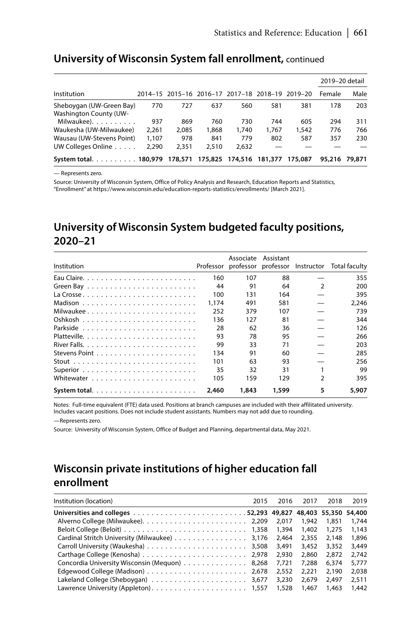#### University of Wisconsin System fall enrollment, continued

|                                                           |       |         |       |                                                 |         |         | 2019-20 detail |        |
|-----------------------------------------------------------|-------|---------|-------|-------------------------------------------------|---------|---------|----------------|--------|
| Institution                                               |       |         |       | 2014-15 2015-16 2016-17 2017-18 2018-19 2019-20 |         |         | Female         | Male   |
| Sheboygan (UW-Green Bay)<br><b>Washington County (UW-</b> | 770   | 727     | 637   | 560                                             | 581     | 381     | 178            | 203    |
| Milwaukee).                                               | 937   | 869     | 760   | 730                                             | 744     | 605     | 294            | 311    |
| Waukesha (UW-Milwaukee)                                   | 2.261 | 2.085   | 1.868 | 1.740                                           | 1.767   | 1.542   | 776            | 766    |
| Wausau (UW-Stevens Point)                                 | 1.107 | 978     | 841   | 779                                             | 802     | 587     | 357            | 230    |
| UW Colleges Online                                        | 2.290 | 2.351   | 2.510 | 2.632                                           |         |         |                |        |
| System total. 180,979                                     |       | 178,571 |       | 175,825 174,516                                 | 181,377 | 175,087 | 95,216         | 79.871 |

- Represents zero.

Source: University of Wisconsin System, Office of Policy Analysis and Research, Education Reports and Statistics, "Enrollment" at https://www.wisconsin.edu/education-reports-statistics/enrollments/ [March 2021].

# University of Wisconsin System budgeted faculty positions, 2020-21

| Institution  |       |       | Associate Assistant |                | Professor professor professor Instructor Total faculty |
|--------------|-------|-------|---------------------|----------------|--------------------------------------------------------|
|              | 160   | 107   | 88                  |                | 355                                                    |
|              | 44    | 91    | 64                  | $\mathcal{P}$  | 200                                                    |
|              | 100   | 131   | 164                 |                | 395                                                    |
|              | 1.174 | 491   | 581                 |                | 2.246                                                  |
| Milwaukee    | 252   | 379   | 107                 |                | 739                                                    |
|              | 136   | 127   | 81                  |                | 344                                                    |
|              | 28    | 62    | 36                  |                | 126                                                    |
|              | 93    | 78    | 95                  |                | 266                                                    |
|              | 99    | 33    | 71                  |                | 203                                                    |
|              | 134   | 91    | 60                  |                | 285                                                    |
|              | 101   | 63    | 93                  |                | 256                                                    |
|              | 35    | 32    | 31                  |                | 99                                                     |
|              | 105   | 159   | 129                 | $\overline{2}$ | 395                                                    |
| System total | 2,460 | 1,843 | 1,599               | 5              | 5,907                                                  |

Notes: Full-time equivalent (FTE) data used. Positions at branch campuses are included with their affilitated university. Includes vacant positions. Does not include student assistants. Numbers may not add due to rounding.

-Represents zero.

Source: University of Wisconsin System, Office of Budget and Planning, departmental data, May 2021.

## Wisconsin private institutions of higher education fall enrollment

| Institution (location)                        | 2015 | 2016  | 2017  | 2018  | 2019  |
|-----------------------------------------------|------|-------|-------|-------|-------|
|                                               |      |       |       |       |       |
|                                               |      |       | 1.942 | 1.851 | 1.744 |
|                                               |      |       | 1.402 | 1,275 | 1.143 |
| Cardinal Stritch University (Milwaukee) 3,176 |      | 2,464 | 2,355 | 2.148 | 1,896 |
|                                               |      |       | 3.452 | 3,352 | 3.449 |
|                                               |      |       | 2.860 | 2.872 | 2.742 |
| Concordia University Wisconsin (Mequon) 8,268 |      | 7,721 | 7.288 | 6.374 | 5,777 |
|                                               |      | 2,552 | 2.221 | 2.190 | 2.038 |
|                                               |      | 3,230 | 2.679 | 2.497 | 2,511 |
|                                               |      |       | 1.467 | 1.463 | 1.442 |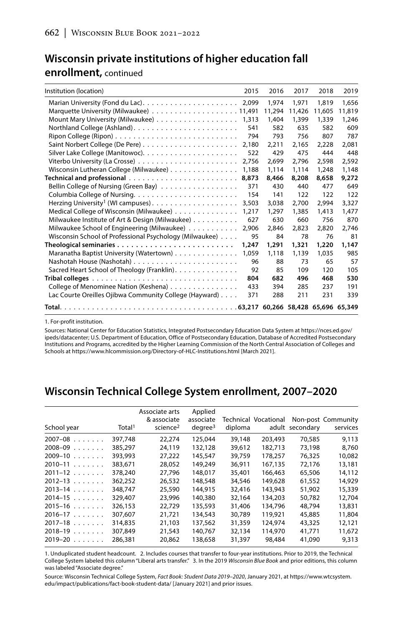# Wisconsin private institutions of higher education fall

#### enrollment, continued

| Institution (location)                                                                                | 2015  | 2016   | 2017   | 2018   | 2019   |
|-------------------------------------------------------------------------------------------------------|-------|--------|--------|--------|--------|
|                                                                                                       |       | 1.974  | 1.971  | 1,819  | 1.656  |
|                                                                                                       |       | 11.294 | 11.426 | 11,605 | 11,819 |
|                                                                                                       | 1,313 | 1,404  | 1,399  | 1,339  | 1.246  |
|                                                                                                       | 541   | 582    | 635    | 582    | 609    |
|                                                                                                       | 794   | 793    | 756    | 807    | 787    |
|                                                                                                       | 2,180 | 2,211  | 2.165  | 2.228  | 2.081  |
|                                                                                                       | 522   | 429    | 475    | 444    | 448    |
|                                                                                                       | 2.756 | 2.699  | 2.796  | 2,598  | 2.592  |
| Wisconsin Lutheran College (Milwaukee)                                                                | 1,188 | 1.114  | 1.114  | 1,248  | 1.148  |
|                                                                                                       | 8,873 | 8.466  | 8,208  | 8,658  | 9,272  |
| Bellin College of Nursing (Green Bay)                                                                 | 371   | 430    | 440    | 477    | 649    |
|                                                                                                       | 154   | 141    | 122    | 122    | 122    |
|                                                                                                       | 3,503 | 3,038  | 2,700  | 2,994  | 3,327  |
| Medical College of Wisconsin (Milwaukee)                                                              | 1.217 | 1.297  | 1,385  | 1,413  | 1.477  |
| Milwaukee Institute of Art & Design (Milwaukee)                                                       | 627   | 630    | 660    | 756    | 870    |
| Milwaukee School of Engineering (Milwaukee)                                                           | 2.906 | 2.846  | 2.823  | 2.820  | 2.746  |
| Wisconsin School of Professional Psychology (Milwaukee)                                               | 95    | 84     | 78     | 76     | 81     |
|                                                                                                       | 1,247 | 1,291  | 1,321  | 1,220  | 1,147  |
| Maranatha Baptist University (Watertown)                                                              | 1,059 | 1,118  | 1,139  | 1.035  | 985    |
|                                                                                                       | 96    | 88     | 73     | 65     | 57     |
| Sacred Heart School of Theology (Franklin).                                                           | 92    | 85     | 109    | 120    | 105    |
| Tribal colleges $\ldots \ldots \ldots \ldots \ldots \ldots \ldots \ldots \ldots \ldots \ldots \ldots$ | 804   | 682    | 496    | 468    | 530    |
| College of Menominee Nation (Keshena)                                                                 | 433   | 394    | 285    | 237    | 191    |
| Lac Courte Oreilles Ojibwa Community College (Hayward)                                                | 371   | 288    | 211    | 231    | 339    |
|                                                                                                       |       |        |        |        |        |

1. For-profit institution.

Sources: National Center for Education Statistics, Integrated Postsecondary Education Data System at https://nces.ed.gov/ ipeds/datacenter; U.S. Department of Education, Office of Postsecondary Education, Database of Accredited Postsecondary Institutions and Programs, accredited by the Higher Learning Commission of the North Central Association of Colleges and Schools at https://www.hlcommission.org/Directory-of-HLC-Institutions.html [March 2021].

### Wisconsin Technical College System enrollment, 2007-2020

| School year                  | Total <sup>1</sup> | Associate arts<br>& associate<br>science <sup>2</sup> | Applied<br>associate<br>degree <sup>3</sup> | diploma | Technical Vocational | adult secondary | Non-post Community<br>services |
|------------------------------|--------------------|-------------------------------------------------------|---------------------------------------------|---------|----------------------|-----------------|--------------------------------|
| $2007 - 08$<br>1.1.1.1.1.1.1 | 397.748            | 22,274                                                | 125,044                                     | 39,148  | 203,493              | 70.585          | 9.113                          |
| 2008-09                      | 385.297            | 24.119                                                | 132,128                                     | 39.612  | 182.713              | 73,198          | 8.760                          |
| $2009 - 10$                  | 393,993            | 27,222                                                | 145,547                                     | 39,759  | 178,257              | 76,325          | 10,082                         |
| $2010 - 11$                  | 383.671            | 28.052                                                | 149,249                                     | 36.911  | 167.135              | 72.176          | 13,181                         |
| $2011 - 12$                  | 378,240            | 27,796                                                | 148,017                                     | 35,401  | 166.463              | 65,506          | 14,112                         |
| $2012 - 13$                  | 362,252            | 26,532                                                | 148,548                                     | 34,546  | 149,628              | 61,552          | 14,929                         |
| $2013 - 14$                  | 348.747            | 25,590                                                | 144.915                                     | 32,416  | 143,943              | 51,902          | 15,339                         |
| $2014 - 15$                  | 329,407            | 23,996                                                | 140,380                                     | 32,164  | 134,203              | 50,782          | 12,704                         |
| $2015 - 16$                  | 326.153            | 22.729                                                | 135,593                                     | 31,406  | 134,796              | 48.794          | 13,831                         |
| $2016 - 17$                  | 307.607            | 21.721                                                | 134,543                                     | 30.789  | 119.921              | 45,885          | 11,804                         |
| $2017 - 18$                  | 314,835            | 21,103                                                | 137,562                                     | 31,359  | 124.974              | 43,325          | 12,121                         |
| $2018 - 19$                  | 307.849            | 21,543                                                | 140.767                                     | 32.134  | 114,970              | 41.771          | 11,672                         |
| $2019 - 20$<br>.             | 286.381            | 20.862                                                | 138.658                                     | 31,397  | 98.484               | 41,090          | 9,313                          |

1. Unduplicated student headcount. 2. Includes courses that transfer to four-year institutions. Prior to 2019, the Technical College System labeled this column "Liberal arts transfer." 3. In the 2019 Wisconsin Blue Book and prior editions, this column was labeled "Associate degree."

Source: Wisconsin Technical College System, Fact Book: Student Data 2019-2020, January 2021, at https://www.wtcsystem. edu/impact/publications/fact-book-student-data/ [January 2021] and prior issues.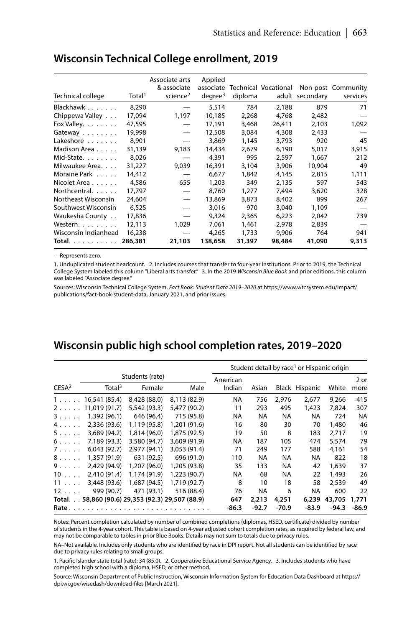| Technical college    | Total <sup>1</sup> | Associate arts<br>& associate<br>science <sup>2</sup> | Applied<br>associate<br>degree <sup>3</sup> | diploma | Technical Vocational | adult secondary | Non-post Community<br>services |
|----------------------|--------------------|-------------------------------------------------------|---------------------------------------------|---------|----------------------|-----------------|--------------------------------|
| Blackhawk            | 8.290              |                                                       | 5,514                                       | 784     | 2,188                | 879             | 71                             |
| Chippewa Valley      | 17.094             | 1,197                                                 | 10.185                                      | 2,268   | 4.768                | 2,482           |                                |
| Fox Valley.          | 47,595             |                                                       | 17,191                                      | 3,468   | 26,411               | 2,103           | 1,092                          |
| Gateway              | 19,998             | $\overbrace{\phantom{12333}}$                         | 12,508                                      | 3,084   | 4,308                | 2,433           |                                |
| Lakeshore            | 8.901              |                                                       | 3,869                                       | 1,145   | 3,793                | 920             | 45                             |
| Madison Area         | 31,139             | 9,183                                                 | 14,434                                      | 2,679   | 6,190                | 5,017           | 3,915                          |
| Mid-State.           | 8,026              |                                                       | 4,391                                       | 995     | 2,597                | 1,667           | 212                            |
| Milwaukee Area       | 31,227             | 9,039                                                 | 16,391                                      | 3,104   | 3,906                | 10,904          | 49                             |
| Moraine Park         | 14,412             |                                                       | 6,677                                       | 1,842   | 4,145                | 2,815           | 1,111                          |
| Nicolet Area         | 4.586              | 655                                                   | 1.203                                       | 349     | 2,135                | 597             | 543                            |
| Northcentral.        | 17,797             |                                                       | 8,760                                       | 1,277   | 7,494                | 3,620           | 328                            |
| Northeast Wisconsin  | 24,604             | $\overline{\phantom{0}}$                              | 13,869                                      | 3,873   | 8,402                | 899             | 267                            |
| Southwest Wisconsin  | 6,525              |                                                       | 3.016                                       | 970     | 3,040                | 1,109           |                                |
| Waukesha County      | 17,836             |                                                       | 9,324                                       | 2,365   | 6,223                | 2,042           | 739                            |
| Western.             | 12.113             | 1,029                                                 | 7.061                                       | 1.461   | 2,978                | 2.839           |                                |
| Wisconsin Indianhead | 16,238             |                                                       | 4,265                                       | 1,733   | 9,906                | 764             | 941                            |
| <b>Total.</b>        | 286,381            | 21,103                                                | 138,658                                     | 31,397  | 98,484               | 41,090          | 9,313                          |

#### **Wisconsin Technical College enrollment, 2019**

—Represents zero.

1. Unduplicated student headcount. 2. Includes courses that transfer to four-year institutions. Prior to 2019, the Technical College System labeled this column "Liberal arts transfer." 3. In the 2019 *Wisconsin Blue Book* and prior editions, this column was labeled "Associate degree."

Sources: Wisconsin Technical College System, *Fact Book: Student Data 2019–2020* at https://www.wtcsystem.edu/impact/ publications/fact-book-student-data, January 2021, and prior issues.

### **Wisconsin public high school completion rates, 2019–2020**

|                   |                                                  |                 |              |           |           |         | Student detail by race <sup>1</sup> or Hispanic origin |         |         |
|-------------------|--------------------------------------------------|-----------------|--------------|-----------|-----------|---------|--------------------------------------------------------|---------|---------|
|                   |                                                  | Students (rate) |              | American  |           |         |                                                        |         | 2 or    |
| CESA <sup>2</sup> | Total <sup>3</sup>                               | Female          | Male         | Indian    | Asian     |         | Black Hispanic                                         | White   | more    |
| 1.                | 16,541 (85.4)                                    | 8,428 (88.0)    | 8.113 (82.9) | <b>NA</b> | 756       | 2,976   | 2,677                                                  | 9,266   | 415     |
| $2 \ldots \ldots$ | 11.019 (91.7)                                    | 5.542 (93.3)    | 5,477 (90.2) | 11        | 293       | 495     | 1.423                                                  | 7.824   | 307     |
| 3.                | 1,392 (96.1)                                     | 646 (96.4)      | 715 (95.8)   | NA        | NA        | NA      | NA                                                     | 724     | NA      |
| 4.                | 2.336 (93.6)                                     | 1.119 (95.8)    | 1,201 (91.6) | 16        | 80        | 30      | 70                                                     | 1,480   | 46      |
| 5.                | 3,689 (94.2)                                     | 1.814 (96.0)    | 1,875 (92.5) | 19        | 50        | 8       | 183                                                    | 2.717   | 19      |
| $6. \ldots$       | 7,189 (93.3)                                     | 3,580 (94.7)    | 3,609 (91.9) | NA        | 187       | 105     | 474                                                    | 5.574   | 79      |
| 7.                | 6,043(92.7)                                      | 2,977 (94.1)    | 3.053 (91.4) | 71        | 249       | 177     | 588                                                    | 4.161   | 54      |
| 8.                | 1,357 (91.9)                                     | 631 (92.5)      | 696 (91.0)   | 110       | <b>NA</b> | NA      | NA                                                     | 822     | 18      |
| 9.000             | 2.429 (94.9)                                     | 1,207 (96.0)    | 1,205 (93.8) | 35        | 133       | NA      | 42                                                     | 1,639   | 37      |
| $10 \ldots$       | 2.410 (91.4)                                     | 1.174 (91.9)    | 1,223 (90.7) | NA        | 68        | NA      | 22                                                     | 1.493   | 26      |
| $11 \ldots$       | 3,448 (93.6)                                     | 1,687 (94.5)    | 1.719 (92.7) | 8         | 10        | 18      | 58                                                     | 2.539   | 49      |
| $12 \ldots$       | 999 (90.7)                                       | 471 (93.1)      | 516 (88.4)   | 76        | NA        | 6       | NA                                                     | 600     | 22      |
|                   | Total. 58,860 (90.6) 29,353 (92.3) 29,507 (88.9) |                 |              | 647       | 2,213     | 4,251   | 6,239                                                  | 43,705  | 1,771   |
| Rate              |                                                  |                 |              | $-86.3$   | $-92.7$   | $-70.9$ | $-83.9$                                                | $-94.3$ | $-86.9$ |

Notes: Percent completion calculated by number of combined completions (diplomas, HSED, certificate) divided by number of students in the 4-year cohort. This table is based on 4-year adjusted cohort completion rates, as required by federal law, and may not be comparable to tables in prior Blue Books. Details may not sum to totals due to privacy rules.

NA–Not available. Includes only students who are identified by race in DPI report. Not all students can be identified by race due to privacy rules relating to small groups.

1. Pacific Islander state total (rate): 34 (85.0). 2. Cooperative Educational Service Agency. 3. Includes students who have completed high school with a diploma, HSED, or other method.

Source: Wisconsin Department of Public Instruction, Wisconsin Information System for Education Data Dashboard at https:// dpi.wi.gov/wisedash/download-files [March 2021].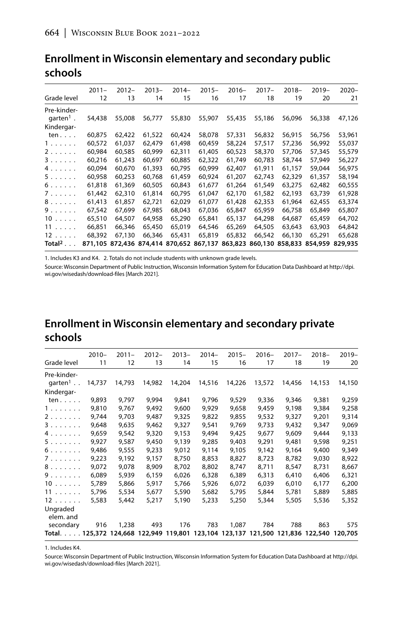|                          | $2011 -$ | $2012 -$                                | $2013 -$ | $2014-$ | $2015 -$ | $2016 -$ | $2017 -$                        | $2018 -$ | $2019 -$ | $2020 -$ |
|--------------------------|----------|-----------------------------------------|----------|---------|----------|----------|---------------------------------|----------|----------|----------|
| Grade level              | 12       | 13                                      | 14       | 15      | 16       | 17       | 18                              | 19       | 20       | 21       |
| Pre-kinder-              |          |                                         |          |         |          |          |                                 |          |          |          |
| $q$ arten <sup>1</sup> . | 54,438   | 55,008                                  | 56,777   | 55,830  | 55,907   | 55,435   | 55,186                          | 56,096   | 56,338   | 47,126   |
| Kindergar-               |          |                                         |          |         |          |          |                                 |          |          |          |
| ten $\ldots$ .           | 60,875   | 62,422                                  | 61,522   | 60,424  | 58,078   | 57,331   | 56,832                          | 56,915   | 56,756   | 53,961   |
| 1.                       | 60,572   | 61.037                                  | 62,479   | 61,498  | 60,459   | 58,224   | 57,517                          | 57,236   | 56,992   | 55,037   |
| 2.                       | 60,984   | 60,585                                  | 60,999   | 62,311  | 61,405   | 60,523   | 58,370                          | 57,706   | 57,345   | 55,579   |
| 3.                       | 60.216   | 61.243                                  | 60.697   | 60.885  | 62.322   | 61.749   | 60.783                          | 58,744   | 57,949   | 56,227   |
| 4.                       | 60,094   | 60.670                                  | 61,393   | 60,795  | 60.999   | 62,407   | 61,911                          | 61,157   | 59,044   | 56,975   |
| 5.                       | 60,958   | 60,253                                  | 60,768   | 61,459  | 60,924   | 61,207   | 62,743                          | 62,329   | 61,357   | 58,194   |
| 6.0000                   | 61,818   | 61,369                                  | 60,505   | 60.843  | 61,677   | 61.264   | 61,549                          | 63.275   | 62,482   | 60,555   |
| 7.                       | 61,442   | 62,310                                  | 61,814   | 60,795  | 61,047   | 62,170   | 61,582                          | 62,193   | 63,739   | 61,928   |
| 8.                       | 61,413   | 61,857                                  | 62.721   | 62.029  | 61,077   | 61.428   | 62,353                          | 61,964   | 62,455   | 63,374   |
| 9.1.1.1                  | 67,542   | 67.699                                  | 67.985   | 68,043  | 67.036   | 65.847   | 65,959                          | 66.758   | 65,849   | 65,807   |
| $10 \ldots$ .            | 65,510   | 64,507                                  | 64,958   | 65,290  | 65,841   | 65,137   | 64,298                          | 64,687   | 65,459   | 64,702   |
| 11                       | 66.851   | 66.346                                  | 65.450   | 65,019  | 64,546   | 65.269   | 64,505                          | 63.643   | 63,903   | 64.842   |
| $12 \ldots$ .            | 68,392   | 67,130                                  | 66,346   | 65,431  | 65,819   | 65,832   | 66,542                          | 66,130   | 65.291   | 65,628   |
| Total $2 \ldots$         |          | 871,105 872,436 874,414 870,652 867,137 |          |         |          |          | 863.823 860.130 858.833 854.959 |          |          | 829,935  |

### Enrollment in Wisconsin elementary and secondary public schools

1. Includes K3 and K4. 2. Totals do not include students with unknown grade levels.

Source: Wisconsin Department of Public Instruction, Wisconsin Information System for Education Data Dashboard at http://dpi. wi.gov/wisedash/download-files [March 2021].

## Enrollment in Wisconsin elementary and secondary private schools

|                                                                      | $2010 -$ | $2011 -$ | $2012 -$ | $2013 -$ | $2014-$ | $2015 -$ | $2016 -$ | $2017 -$ | $2018-$ | $2019-$ |
|----------------------------------------------------------------------|----------|----------|----------|----------|---------|----------|----------|----------|---------|---------|
| Grade level                                                          | 11       | 12       | 13       | 14       | 15      | 16       | 17       | 18       | 19      | 20      |
| Pre-kinder-                                                          |          |          |          |          |         |          |          |          |         |         |
| $q$ arten <sup>1</sup>                                               | 14,737   | 14,793   | 14,982   | 14,204   | 14,516  | 14,226   | 13,572   | 14,456   | 14,153  | 14,150  |
| Kindergar-                                                           |          |          |          |          |         |          |          |          |         |         |
| ten $\ldots$ .                                                       | 9,893    | 9,797    | 9,994    | 9,841    | 9,796   | 9,529    | 9,336    | 9,346    | 9.381   | 9,259   |
| 1.                                                                   | 9,810    | 9,767    | 9,492    | 9,600    | 9,929   | 9,658    | 9,459    | 9,198    | 9,384   | 9,258   |
| 2.                                                                   | 9,744    | 9,703    | 9,487    | 9,325    | 9,822   | 9,855    | 9,532    | 9,327    | 9,201   | 9,314   |
| 3.                                                                   | 9,648    | 9,635    | 9.462    | 9,327    | 9,541   | 9.769    | 9,733    | 9,432    | 9.347   | 9,069   |
| 4.                                                                   | 9,659    | 9,542    | 9,320    | 9,153    | 9,494   | 9,425    | 9,677    | 9,609    | 9,444   | 9,133   |
| 5.                                                                   | 9,927    | 9,587    | 9,450    | 9.139    | 9.285   | 9.403    | 9.291    | 9,481    | 9.598   | 9,251   |
| 6.                                                                   | 9,486    | 9,555    | 9,233    | 9,012    | 9,114   | 9.105    | 9,142    | 9,164    | 9,400   | 9,349   |
| 7                                                                    | 9,223    | 9,192    | 9,157    | 8,750    | 8,853   | 8,827    | 8,723    | 8,782    | 9,030   | 8,922   |
| 8.                                                                   | 9,072    | 9,078    | 8,909    | 8,702    | 8,802   | 8,747    | 8,711    | 8,547    | 8,731   | 8,667   |
| 9.                                                                   | 6,089    | 5,939    | 6,159    | 6,026    | 6,328   | 6,389    | 6,313    | 6,410    | 6,406   | 6,321   |
| $10 \ldots \ldots$                                                   | 5,789    | 5,866    | 5.917    | 5.766    | 5.926   | 6.072    | 6.039    | 6,010    | 6.177   | 6,200   |
| 11                                                                   | 5,796    | 5,534    | 5.677    | 5,590    | 5,682   | 5,795    | 5,844    | 5,781    | 5,889   | 5,885   |
| $12 \ldots \ldots$                                                   | 5,583    | 5,442    | 5,217    | 5,190    | 5,233   | 5,250    | 5,344    | 5,505    | 5,536   | 5,352   |
| Ungraded<br>elem. and                                                |          |          |          |          |         |          |          |          |         |         |
| secondary                                                            | 916      | 1,238    | 493      | 176      | 783     | 1,087    | 784      | 788      | 863     | 575     |
| Total125,372 124,668 122,949 119,801 123,104 123,137 121,500 121,836 |          |          |          |          |         |          |          |          | 122,540 | 120,705 |

1. Includes K4.

Source: Wisconsin Department of Public Instruction, Wisconsin Information System for Education Data Dashboard at http://dpi. wi.gov/wisedash/download-files [March 2021].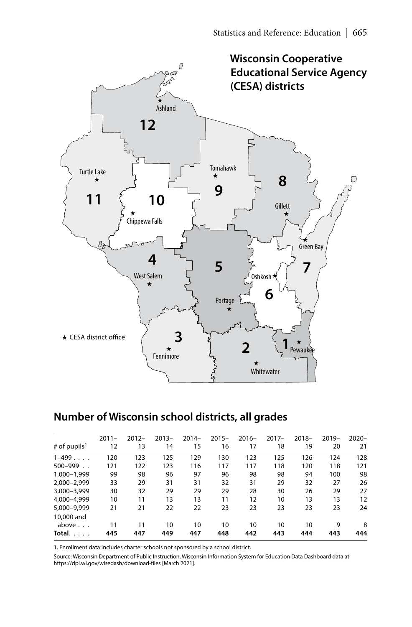

## **Number of Wisconsin school districts, all grades**

| # of pupils <sup>1</sup> | $2011 -$<br>12 | $2012 -$<br>13 | $2013 -$<br>14 | $2014-$<br>15 | $2015 -$<br>16 | $2016 -$<br>17 | $2017 -$<br>18 | $2018 -$<br>19 | $2019-$<br>20 | $2020 -$<br>21 |
|--------------------------|----------------|----------------|----------------|---------------|----------------|----------------|----------------|----------------|---------------|----------------|
| $1-499$                  | 120            | 123            | 125            | 129           | 130            | 123            | 125            | 126            | 124           | 128            |
| $500 - 999$              | 121            | 122            | 123            | 116           | 117            | 117            | 118            | 120            | 118           | 121            |
| 1.000-1.999              | 99             | 98             | 96             | 97            | 96             | 98             | 98             | 94             | 100           | 98             |
| 2.000-2.999              | 33             | 29             | 31             | 31            | 32             | 31             | 29             | 32             | 27            | 26             |
| 3.000-3.999              | 30             | 32             | 29             | 29            | 29             | 28             | 30             | 26             | 29            | 27             |
| 4.000-4.999              | 10             | 11             | 13             | 13            | 11             | 12             | 10             | 13             | 13            | 12             |
| 5.000-9.999              | 21             | 21             | 22             | 22            | 23             | 23             | 23             | 23             | 23            | 24             |
| 10,000 and               |                |                |                |               |                |                |                |                |               |                |
| above $\ldots$           | 11             | 11             | 10             | 10            | 10             | 10             | 10             | 10             | 9             | 8              |
| Total. $\ldots$ .        | 445            | 447            | 449            | 447           | 448            | 442            | 443            | 444            | 443           | 444            |
|                          |                |                |                |               |                |                |                |                |               |                |

1. Enrollment data includes charter schools not sponsored by a school district.

Source: Wisconsin Department of Public Instruction, Wisconsin Information System for Education Data Dashboard data at https://dpi.wi.gov/wisedash/download-files [March 2021].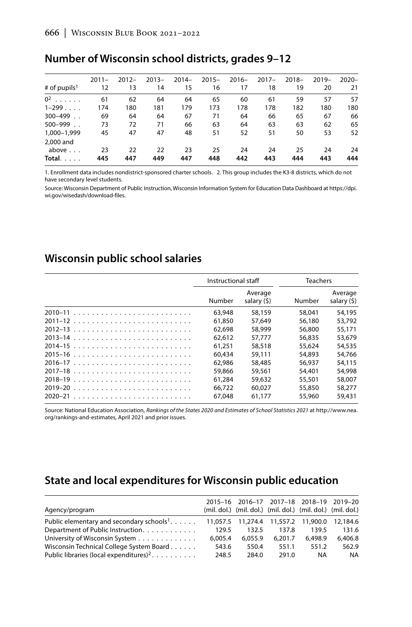### Number of Wisconsin school districts, grades 9-12

|                                                  | $2011 -$  | $2012 -$  | $2013 -$  | $2014-$   | $2015 -$  | $2016 -$  | $2017 -$  | $2018 -$  | $2019-$   | $2020 -$  |
|--------------------------------------------------|-----------|-----------|-----------|-----------|-----------|-----------|-----------|-----------|-----------|-----------|
| # of pupils <sup>1</sup>                         | 12        | 13        | 14        | 15        | 16        | 17        | 18        | 19        | 20        | 21        |
| $0^2$                                            | 61        | 62        | 64        | 64        | 65        | 60        | 61        | 59        | 57        | 57        |
| $1-299$                                          | 174       | 180       | 181       | 179       | 173       | 178       | 178       | 182       | 180       | 180       |
| 300-499                                          | 69        | 64        | 64        | 67        | 71        | 64        | 66        | 65        | 67        | 66        |
| $500 - 999$ .                                    | 73        | 72        | 71        | 66        | 63        | 64        | 63        | 63        | 62        | 65        |
| 1.000-1.999                                      | 45        | 47        | 47        | 48        | 51        | 52        | 51        | 50        | 53        | 52        |
| 2,000 and<br>above $\ldots$<br>Total. $\ldots$ . | 23<br>445 | 22<br>447 | 22<br>449 | 23<br>447 | 25<br>448 | 24<br>442 | 24<br>443 | 25<br>444 | 24<br>443 | 24<br>444 |

1. Enrollment data includes nondistrict-sponsored charter schools. 2. This group includes the K3-8 districts, which do not have secondary level students.

Source: Wisconsin Department of Public Instruction, Wisconsin Information System for Education Data Dashboard at https://dpi. wi.gov/wisedash/download-files.

### Wisconsin public school salaries

|             | Instructional staff |                        | <b>Teachers</b> |                        |
|-------------|---------------------|------------------------|-----------------|------------------------|
|             | Number              | Average<br>salary (\$) | Number          | Average<br>salary (\$) |
|             | 63,948              | 58,159                 | 58.041          | 54,195                 |
|             | 61,850              | 57.649                 | 56,180          | 53,792                 |
|             | 62.698              | 58,999                 | 56,800          | 55.171                 |
|             | 62.612              | 57.777                 | 56,835          | 53,679                 |
|             | 61.251              | 58,518                 | 55.624          | 54,535                 |
|             | 60.434              | 59.111                 | 54,893          | 54.766                 |
|             | 62.986              | 58,485                 | 56,937          | 54,115                 |
|             | 59,866              | 59,561                 | 54,401          | 54,998                 |
|             | 61.284              | 59,632                 | 55,501          | 58,007                 |
|             | 66.722              | 60.027                 | 55,850          | 58,277                 |
| $2020 - 21$ | 67.048              | 61.177                 | 55,960          | 59.431                 |

Source: National Education Association, Rankings of the States 2020 and Estimates of School Statistics 2021 at http://www.nea. org/rankings-and-estimates, April 2021 and prior issues.

### State and local expenditures for Wisconsin public education

|                                                        |         |         |         | 2015-16 2016-17 2017-18 2018-19 2019-20                     |           |
|--------------------------------------------------------|---------|---------|---------|-------------------------------------------------------------|-----------|
| Agency/program                                         |         |         |         | (mil. dol.) (mil. dol.) (mil. dol.) (mil. dol.) (mil. dol.) |           |
| Public elementary and secondary schools <sup>1</sup> . |         |         |         | 11,057.5 11,274.4 11,557.2 11,900.0 12,184.6                |           |
| Department of Public Instruction.                      | 129.5   | 132.5   | 137.8   | 139.5                                                       | 131.6     |
| University of Wisconsin System                         | 6.005.4 | 6.055.9 | 6.201.7 | 6.498.9                                                     | 6.406.8   |
| Wisconsin Technical College System Board               | 543.6   | 550.4   | 551.1   | 551.2                                                       | 562.9     |
| Public libraries (local expenditures) <sup>2</sup> .   | 248.5   | 284.0   | 291.0   | <b>NA</b>                                                   | <b>NA</b> |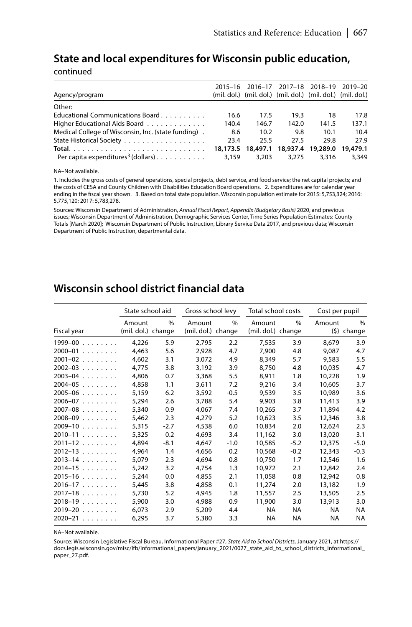#### State and local expenditures for Wisconsin public education,

continued

|                                                                       | 2015-16 |                   |          | 2016-17 2017-18 2018-19                                     | 2019–20  |
|-----------------------------------------------------------------------|---------|-------------------|----------|-------------------------------------------------------------|----------|
| Agency/program                                                        |         |                   |          | (mil. dol.) (mil. dol.) (mil. dol.) (mil. dol.) (mil. dol.) |          |
| Other:                                                                |         |                   |          |                                                             |          |
| Educational Communications Board                                      | 16.6    | 17.5              | 19.3     | 18                                                          | 17.8     |
| Higher Educational Aids Board                                         | 140.4   | 146.7             | 142.0    | 141.5                                                       | 137.1    |
| Medical College of Wisconsin, Inc. (state funding).                   | 8.6     | 10.2              | 9.8      | 10.1                                                        | 10.4     |
|                                                                       | 23.4    | 25.5              | 27.5     | 29.8                                                        | 27.9     |
|                                                                       |         | 18,173.5 18,497.1 | 18,937.4 | 19,289.0                                                    | 19,479.1 |
| Per capita expenditures <sup>3</sup> (dollars) $\ldots \ldots \ldots$ | 3.159   | 3.203             | 3.275    | 3.316                                                       | 3.349    |

NA-Not available.

1. Includes the gross costs of general operations, special projects, debt service, and food service; the net capital projects; and the costs of CESA and County Children with Disabilities Education Board operations. 2. Expenditures are for calendar year ending in the fiscal year shown. 3. Based on total state population. Wisconsin population estimate for 2015: 5,753,324; 2016: 5,775,120; 2017: 5,783,278.

Sources: Wisconsin Department of Administration, Annual Fiscal Report, Appendix (Budgetary Basis) 2020, and previous issues; Wisconsin Department of Administration, Demographic Services Center, Time Series Population Estimates: County Totals [March 2020]; Wisconsin Department of Public Instruction, Library Service Data 2017, and previous data; Wisconsin Department of Public Instruction, departmental data.

#### Wisconsin school district financial data

|             | State school aid             |        |                              | Gross school levy |                              | Total school costs | Cost per pupil |                      |  |
|-------------|------------------------------|--------|------------------------------|-------------------|------------------------------|--------------------|----------------|----------------------|--|
| Fiscal year | Amount<br>(mil. dol.) change | $\%$   | Amount<br>(mil. dol.) change | $\%$              | Amount<br>(mil. dol.) change | $\%$               | Amount         | $\%$<br>$(5)$ change |  |
| $1999-00$   | 4,226                        | 5.9    | 2.795                        | 2.2               | 7.535                        | 3.9                | 8,679          | 3.9                  |  |
| $2000 - 01$ | 4.463                        | 5.6    | 2.928                        | 4.7               | 7.900                        | 4.8                | 9.087          | 4.7                  |  |
| $2001 - 02$ | 4.602                        | 3.1    | 3,072                        | 4.9               | 8.349                        | 5.7                | 9.583          | 5.5                  |  |
| $2002 - 03$ | 4.775                        | 3.8    | 3,192                        | 3.9               | 8.750                        | 4.8                | 10.035         | 4.7                  |  |
| $2003 - 04$ | 4.806                        | 0.7    | 3.368                        | 5.5               | 8.911                        | 1.8                | 10,228         | 1.9                  |  |
| $2004 - 05$ | 4,858                        | 1.1    | 3,611                        | 7.2               | 9,216                        | 3.4                | 10,605         | 3.7                  |  |
| $2005 - 06$ | 5.159                        | 6.2    | 3.592                        | $-0.5$            | 9.539                        | 3.5                | 10,989         | 3.6                  |  |
| $2006 - 07$ | 5,294                        | 2.6    | 3.788                        | 5.4               | 9.903                        | 3.8                | 11,413         | 3.9                  |  |
| $2007 - 08$ | 5.340                        | 0.9    | 4.067                        | 7.4               | 10.265                       | 3.7                | 11,894         | 4.2                  |  |
| $2008 - 09$ | 5,462                        | 2.3    | 4,279                        | 5.2               | 10,623                       | 3.5                | 12,346         | 3.8                  |  |
| $2009 - 10$ | 5,315                        | $-2.7$ | 4,538                        | 6.0               | 10,834                       | 2.0                | 12,624         | 2.3                  |  |
| $2010 - 11$ | 5,325                        | 0.2    | 4.693                        | 3.4               | 11.162                       | 3.0                | 13,020         | 3.1                  |  |
| $2011 - 12$ | 4.894                        | $-8.1$ | 4.647                        | $-1.0$            | 10,585                       | $-5.2$             | 12,375         | $-5.0$               |  |
| $2012 - 13$ | 4.964                        | 1.4    | 4,656                        | 0.2               | 10,568                       | $-0.2$             | 12,343         | $-0.3$               |  |
| $2013 - 14$ | 5.079                        | 2.3    | 4.694                        | 0.8               | 10.750                       | 1.7                | 12,546         | 1.6                  |  |
| $2014 - 15$ | 5,242                        | 3.2    | 4,754                        | 1.3               | 10,972                       | 2.1                | 12,842         | 2.4                  |  |
| $2015 - 16$ | 5.244                        | 0.0    | 4.855                        | 2.1               | 11,058                       | 0.8                | 12,942         | 0.8                  |  |
| $2016 - 17$ | 5,445                        | 3.8    | 4.858                        | 0.1               | 11,274                       | 2.0                | 13,182         | 1.9                  |  |
| $2017 - 18$ | 5.730                        | 5.2    | 4.945                        | 1.8               | 11,557                       | 2.5                | 13,505         | 2.5                  |  |
| $2018 - 19$ | 5,900                        | 3.0    | 4.988                        | 0.9               | 11,900                       | 3.0                | 13,913         | 3.0                  |  |
| $2019 - 20$ | 6.073                        | 2.9    | 5,209                        | 4.4               | <b>NA</b>                    | NA                 | <b>NA</b>      | <b>NA</b>            |  |
| $2020 - 21$ | 6.295                        | 3.7    | 5,380                        | 3.3               | <b>NA</b>                    | <b>NA</b>          | <b>NA</b>      | <b>NA</b>            |  |

NA-Not available.

Source: Wisconsin Legislative Fiscal Bureau, Informational Paper #27, State Aid to School Districts, January 2021, at https:// docs.legis.wisconsin.gov/misc/lfb/informational\_papers/january\_2021/0027\_state\_aid\_to\_school\_districts\_informational\_ paper\_27.pdf.